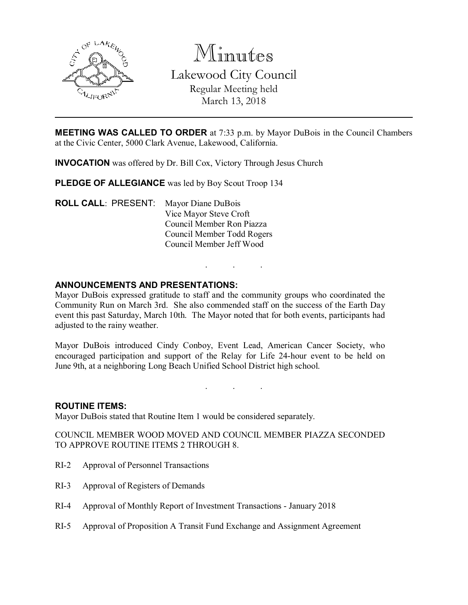

Minutes Lakewood City Council Regular Meeting held March 13, 2018

**MEETING WAS CALLED TO ORDER** at 7:33 p.m. by Mayor DuBois in the Council Chambers at the Civic Center, 5000 Clark Avenue, Lakewood, California.

INVOCATION was offered by Dr. Bill Cox, Victory Through Jesus Church

PLEDGE OF ALLEGIANCE was led by Boy Scout Troop 134

ROLL CALL: PRESENT: Mayor Diane DuBois Vice Mayor Steve Croft Council Member Ron Piazza Council Member Todd Rogers Council Member Jeff Wood

### ANNOUNCEMENTS AND PRESENTATIONS:

Mayor DuBois expressed gratitude to staff and the community groups who coordinated the Community Run on March 3rd. She also commended staff on the success of the Earth Day event this past Saturday, March 10th. The Mayor noted that for both events, participants had adjusted to the rainy weather.

. . .

Mayor DuBois introduced Cindy Conboy, Event Lead, American Cancer Society, who encouraged participation and support of the Relay for Life 24-hour event to be held on June 9th, at a neighboring Long Beach Unified School District high school.

. . .

#### ROUTINE ITEMS:

Mayor DuBois stated that Routine Item 1 would be considered separately.

COUNCIL MEMBER WOOD MOVED AND COUNCIL MEMBER PIAZZA SECONDED TO APPROVE ROUTINE ITEMS 2 THROUGH 8.

- RI-2 Approval of Personnel Transactions
- RI-3 Approval of Registers of Demands
- RI-4 Approval of Monthly Report of Investment Transactions January 2018
- RI-5 Approval of Proposition A Transit Fund Exchange and Assignment Agreement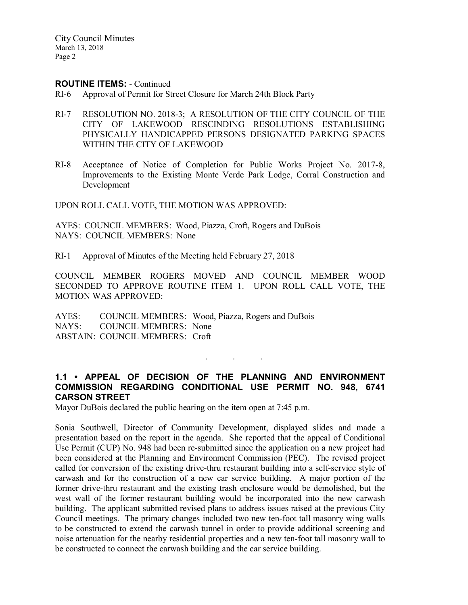City Council Minutes March 13, 2018 Page 2

#### ROUTINE ITEMS: - Continued

- RI-6 Approval of Permit for Street Closure for March 24th Block Party
- RI-7 RESOLUTION NO. 2018-3; A RESOLUTION OF THE CITY COUNCIL OF THE CITY OF LAKEWOOD RESCINDING RESOLUTIONS ESTABLISHING PHYSICALLY HANDICAPPED PERSONS DESIGNATED PARKING SPACES WITHIN THE CITY OF LAKEWOOD
- RI-8 Acceptance of Notice of Completion for Public Works Project No. 2017-8, Improvements to the Existing Monte Verde Park Lodge, Corral Construction and Development

UPON ROLL CALL VOTE, THE MOTION WAS APPROVED:

AYES: COUNCIL MEMBERS: Wood, Piazza, Croft, Rogers and DuBois NAYS: COUNCIL MEMBERS: None

RI-1 Approval of Minutes of the Meeting held February 27, 2018

COUNCIL MEMBER ROGERS MOVED AND COUNCIL MEMBER WOOD SECONDED TO APPROVE ROUTINE ITEM 1. UPON ROLL CALL VOTE, THE MOTION WAS APPROVED:

AYES: COUNCIL MEMBERS: Wood, Piazza, Rogers and DuBois NAYS: COUNCIL MEMBERS: None ABSTAIN: COUNCIL MEMBERS: Croft

### 1.1 • APPEAL OF DECISION OF THE PLANNING AND ENVIRONMENT COMMISSION REGARDING CONDITIONAL USE PERMIT NO. 948, 6741 CARSON STREET

. . .

Mayor DuBois declared the public hearing on the item open at 7:45 p.m.

Sonia Southwell, Director of Community Development, displayed slides and made a presentation based on the report in the agenda. She reported that the appeal of Conditional Use Permit (CUP) No. 948 had been re-submitted since the application on a new project had been considered at the Planning and Environment Commission (PEC). The revised project called for conversion of the existing drive-thru restaurant building into a self-service style of carwash and for the construction of a new car service building. A major portion of the former drive-thru restaurant and the existing trash enclosure would be demolished, but the west wall of the former restaurant building would be incorporated into the new carwash building. The applicant submitted revised plans to address issues raised at the previous City Council meetings. The primary changes included two new ten-foot tall masonry wing walls to be constructed to extend the carwash tunnel in order to provide additional screening and noise attenuation for the nearby residential properties and a new ten-foot tall masonry wall to be constructed to connect the carwash building and the car service building.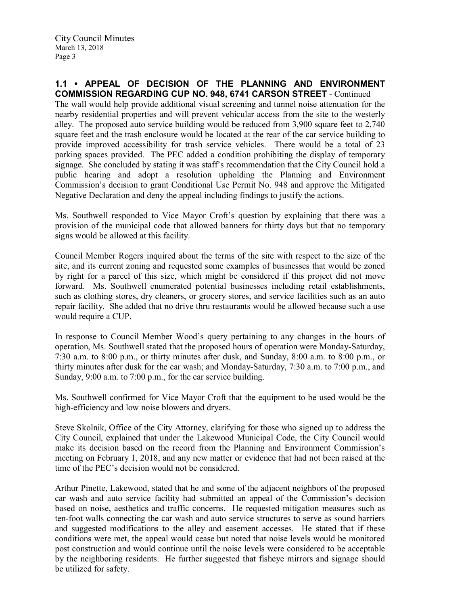The wall would help provide additional visual screening and tunnel noise attenuation for the nearby residential properties and will prevent vehicular access from the site to the westerly alley. The proposed auto service building would be reduced from 3,900 square feet to 2,740 square feet and the trash enclosure would be located at the rear of the car service building to provide improved accessibility for trash service vehicles. There would be a total of 23 parking spaces provided. The PEC added a condition prohibiting the display of temporary signage. She concluded by stating it was staff's recommendation that the City Council hold a public hearing and adopt a resolution upholding the Planning and Environment Commission's decision to grant Conditional Use Permit No. 948 and approve the Mitigated Negative Declaration and deny the appeal including findings to justify the actions.

Ms. Southwell responded to Vice Mayor Croft's question by explaining that there was a provision of the municipal code that allowed banners for thirty days but that no temporary signs would be allowed at this facility.

Council Member Rogers inquired about the terms of the site with respect to the size of the site, and its current zoning and requested some examples of businesses that would be zoned by right for a parcel of this size, which might be considered if this project did not move forward. Ms. Southwell enumerated potential businesses including retail establishments, such as clothing stores, dry cleaners, or grocery stores, and service facilities such as an auto repair facility. She added that no drive thru restaurants would be allowed because such a use would require a CUP.

In response to Council Member Wood's query pertaining to any changes in the hours of operation, Ms. Southwell stated that the proposed hours of operation were Monday-Saturday, 7:30 a.m. to 8:00 p.m., or thirty minutes after dusk, and Sunday, 8:00 a.m. to 8:00 p.m., or thirty minutes after dusk for the car wash; and Monday-Saturday, 7:30 a.m. to 7:00 p.m., and Sunday, 9:00 a.m. to 7:00 p.m., for the car service building.

Ms. Southwell confirmed for Vice Mayor Croft that the equipment to be used would be the high-efficiency and low noise blowers and dryers.

Steve Skolnik, Office of the City Attorney, clarifying for those who signed up to address the City Council, explained that under the Lakewood Municipal Code, the City Council would make its decision based on the record from the Planning and Environment Commission's meeting on February 1, 2018, and any new matter or evidence that had not been raised at the time of the PEC's decision would not be considered.

Arthur Pinette, Lakewood, stated that he and some of the adjacent neighbors of the proposed car wash and auto service facility had submitted an appeal of the Commission's decision based on noise, aesthetics and traffic concerns. He requested mitigation measures such as ten-foot walls connecting the car wash and auto service structures to serve as sound barriers and suggested modifications to the alley and easement accesses. He stated that if these conditions were met, the appeal would cease but noted that noise levels would be monitored post construction and would continue until the noise levels were considered to be acceptable by the neighboring residents. He further suggested that fisheye mirrors and signage should be utilized for safety.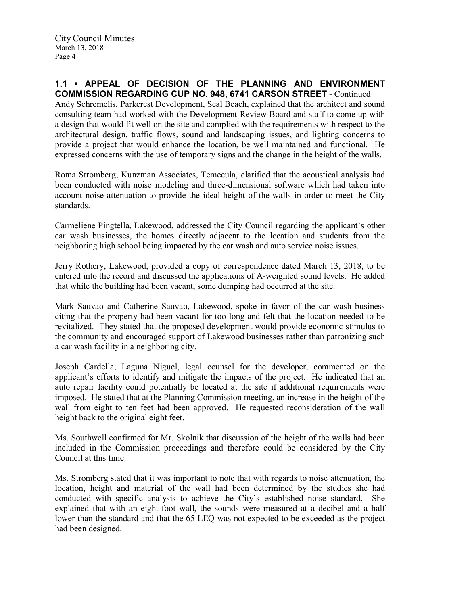Andy Sehremelis, Parkcrest Development, Seal Beach, explained that the architect and sound consulting team had worked with the Development Review Board and staff to come up with a design that would fit well on the site and complied with the requirements with respect to the architectural design, traffic flows, sound and landscaping issues, and lighting concerns to provide a project that would enhance the location, be well maintained and functional. He expressed concerns with the use of temporary signs and the change in the height of the walls.

Roma Stromberg, Kunzman Associates, Temecula, clarified that the acoustical analysis had been conducted with noise modeling and three-dimensional software which had taken into account noise attenuation to provide the ideal height of the walls in order to meet the City standards.

Carmeliene Pingtella, Lakewood, addressed the City Council regarding the applicant's other car wash businesses, the homes directly adjacent to the location and students from the neighboring high school being impacted by the car wash and auto service noise issues.

Jerry Rothery, Lakewood, provided a copy of correspondence dated March 13, 2018, to be entered into the record and discussed the applications of A-weighted sound levels. He added that while the building had been vacant, some dumping had occurred at the site.

Mark Sauvao and Catherine Sauvao, Lakewood, spoke in favor of the car wash business citing that the property had been vacant for too long and felt that the location needed to be revitalized. They stated that the proposed development would provide economic stimulus to the community and encouraged support of Lakewood businesses rather than patronizing such a car wash facility in a neighboring city.

Joseph Cardella, Laguna Niguel, legal counsel for the developer, commented on the applicant's efforts to identify and mitigate the impacts of the project. He indicated that an auto repair facility could potentially be located at the site if additional requirements were imposed. He stated that at the Planning Commission meeting, an increase in the height of the wall from eight to ten feet had been approved. He requested reconsideration of the wall height back to the original eight feet.

Ms. Southwell confirmed for Mr. Skolnik that discussion of the height of the walls had been included in the Commission proceedings and therefore could be considered by the City Council at this time.

Ms. Stromberg stated that it was important to note that with regards to noise attenuation, the location, height and material of the wall had been determined by the studies she had conducted with specific analysis to achieve the City's established noise standard. She explained that with an eight-foot wall, the sounds were measured at a decibel and a half lower than the standard and that the 65 LEQ was not expected to be exceeded as the project had been designed.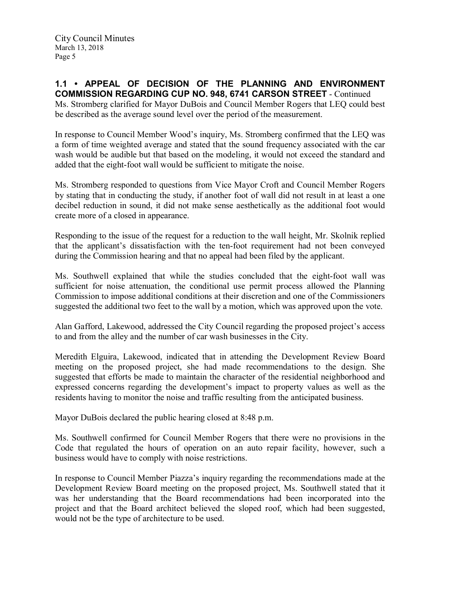Ms. Stromberg clarified for Mayor DuBois and Council Member Rogers that LEQ could best be described as the average sound level over the period of the measurement.

In response to Council Member Wood's inquiry, Ms. Stromberg confirmed that the LEQ was a form of time weighted average and stated that the sound frequency associated with the car wash would be audible but that based on the modeling, it would not exceed the standard and added that the eight-foot wall would be sufficient to mitigate the noise.

Ms. Stromberg responded to questions from Vice Mayor Croft and Council Member Rogers by stating that in conducting the study, if another foot of wall did not result in at least a one decibel reduction in sound, it did not make sense aesthetically as the additional foot would create more of a closed in appearance.

Responding to the issue of the request for a reduction to the wall height, Mr. Skolnik replied that the applicant's dissatisfaction with the ten-foot requirement had not been conveyed during the Commission hearing and that no appeal had been filed by the applicant.

Ms. Southwell explained that while the studies concluded that the eight-foot wall was sufficient for noise attenuation, the conditional use permit process allowed the Planning Commission to impose additional conditions at their discretion and one of the Commissioners suggested the additional two feet to the wall by a motion, which was approved upon the vote.

Alan Gafford, Lakewood, addressed the City Council regarding the proposed project's access to and from the alley and the number of car wash businesses in the City.

Meredith Elguira, Lakewood, indicated that in attending the Development Review Board meeting on the proposed project, she had made recommendations to the design. She suggested that efforts be made to maintain the character of the residential neighborhood and expressed concerns regarding the development's impact to property values as well as the residents having to monitor the noise and traffic resulting from the anticipated business.

Mayor DuBois declared the public hearing closed at 8:48 p.m.

Ms. Southwell confirmed for Council Member Rogers that there were no provisions in the Code that regulated the hours of operation on an auto repair facility, however, such a business would have to comply with noise restrictions.

In response to Council Member Piazza's inquiry regarding the recommendations made at the Development Review Board meeting on the proposed project, Ms. Southwell stated that it was her understanding that the Board recommendations had been incorporated into the project and that the Board architect believed the sloped roof, which had been suggested, would not be the type of architecture to be used.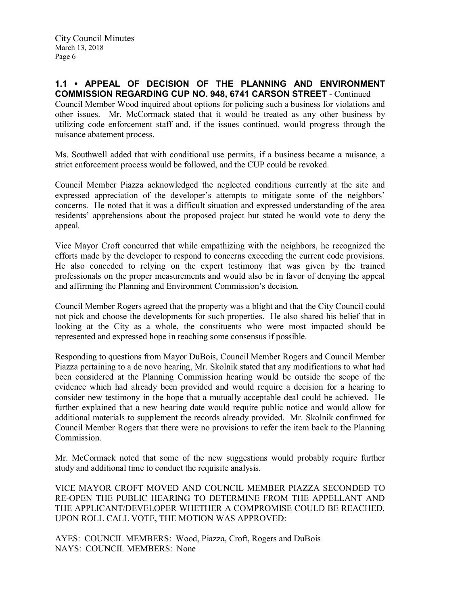Council Member Wood inquired about options for policing such a business for violations and other issues. Mr. McCormack stated that it would be treated as any other business by utilizing code enforcement staff and, if the issues continued, would progress through the nuisance abatement process.

Ms. Southwell added that with conditional use permits, if a business became a nuisance, a strict enforcement process would be followed, and the CUP could be revoked.

Council Member Piazza acknowledged the neglected conditions currently at the site and expressed appreciation of the developer's attempts to mitigate some of the neighbors' concerns. He noted that it was a difficult situation and expressed understanding of the area residents' apprehensions about the proposed project but stated he would vote to deny the appeal.

Vice Mayor Croft concurred that while empathizing with the neighbors, he recognized the efforts made by the developer to respond to concerns exceeding the current code provisions. He also conceded to relying on the expert testimony that was given by the trained professionals on the proper measurements and would also be in favor of denying the appeal and affirming the Planning and Environment Commission's decision.

Council Member Rogers agreed that the property was a blight and that the City Council could not pick and choose the developments for such properties. He also shared his belief that in looking at the City as a whole, the constituents who were most impacted should be represented and expressed hope in reaching some consensus if possible.

Responding to questions from Mayor DuBois, Council Member Rogers and Council Member Piazza pertaining to a de novo hearing, Mr. Skolnik stated that any modifications to what had been considered at the Planning Commission hearing would be outside the scope of the evidence which had already been provided and would require a decision for a hearing to consider new testimony in the hope that a mutually acceptable deal could be achieved. He further explained that a new hearing date would require public notice and would allow for additional materials to supplement the records already provided. Mr. Skolnik confirmed for Council Member Rogers that there were no provisions to refer the item back to the Planning Commission.

Mr. McCormack noted that some of the new suggestions would probably require further study and additional time to conduct the requisite analysis.

VICE MAYOR CROFT MOVED AND COUNCIL MEMBER PIAZZA SECONDED TO RE-OPEN THE PUBLIC HEARING TO DETERMINE FROM THE APPELLANT AND THE APPLICANT/DEVELOPER WHETHER A COMPROMISE COULD BE REACHED. UPON ROLL CALL VOTE, THE MOTION WAS APPROVED:

AYES: COUNCIL MEMBERS: Wood, Piazza, Croft, Rogers and DuBois NAYS: COUNCIL MEMBERS: None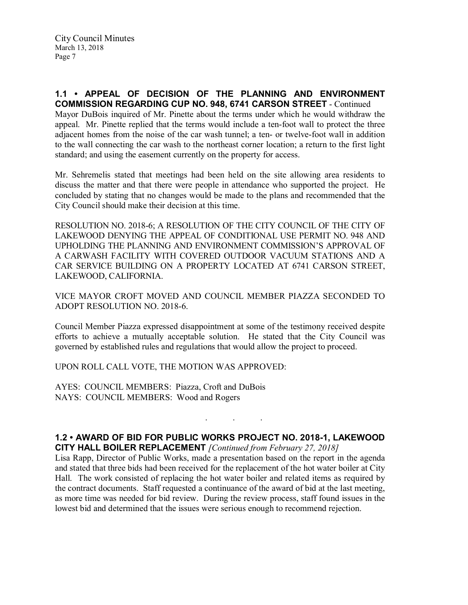Mayor DuBois inquired of Mr. Pinette about the terms under which he would withdraw the appeal. Mr. Pinette replied that the terms would include a ten-foot wall to protect the three adjacent homes from the noise of the car wash tunnel; a ten- or twelve-foot wall in addition to the wall connecting the car wash to the northeast corner location; a return to the first light standard; and using the easement currently on the property for access.

Mr. Sehremelis stated that meetings had been held on the site allowing area residents to discuss the matter and that there were people in attendance who supported the project. He concluded by stating that no changes would be made to the plans and recommended that the City Council should make their decision at this time.

RESOLUTION NO. 2018-6; A RESOLUTION OF THE CITY COUNCIL OF THE CITY OF LAKEWOOD DENYING THE APPEAL OF CONDITIONAL USE PERMIT NO. 948 AND UPHOLDING THE PLANNING AND ENVIRONMENT COMMISSION'S APPROVAL OF A CARWASH FACILITY WITH COVERED OUTDOOR VACUUM STATIONS AND A CAR SERVICE BUILDING ON A PROPERTY LOCATED AT 6741 CARSON STREET, LAKEWOOD, CALIFORNIA.

VICE MAYOR CROFT MOVED AND COUNCIL MEMBER PIAZZA SECONDED TO ADOPT RESOLUTION NO. 2018-6.

Council Member Piazza expressed disappointment at some of the testimony received despite efforts to achieve a mutually acceptable solution. He stated that the City Council was governed by established rules and regulations that would allow the project to proceed.

UPON ROLL CALL VOTE, THE MOTION WAS APPROVED:

AYES: COUNCIL MEMBERS: Piazza, Croft and DuBois NAYS: COUNCIL MEMBERS: Wood and Rogers

## 1.2 • AWARD OF BID FOR PUBLIC WORKS PROJECT NO. 2018-1, LAKEWOOD CITY HALL BOILER REPLACEMENT *[Continued from February 27, 2018]*

. . .

Lisa Rapp, Director of Public Works, made a presentation based on the report in the agenda and stated that three bids had been received for the replacement of the hot water boiler at City Hall. The work consisted of replacing the hot water boiler and related items as required by the contract documents. Staff requested a continuance of the award of bid at the last meeting, as more time was needed for bid review. During the review process, staff found issues in the lowest bid and determined that the issues were serious enough to recommend rejection.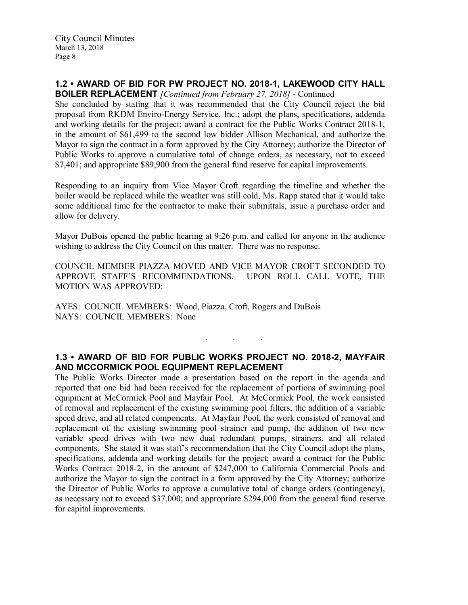## 1.2 • AWARD OF BID FOR PW PROJECT NO. 2018-1, LAKEWOOD CITY HALL

BOILER REPLACEMENT *[Continued from February 27, 2018]* - Continued

She concluded by stating that it was recommended that the City Council reject the bid proposal from RKDM Enviro-Energy Service, Inc.; adopt the plans, specifications, addenda and working details for the project; award a contract for the Public Works Contract 2018-1, in the amount of \$61,499 to the second low bidder Allison Mechanical, and authorize the Mayor to sign the contract in a form approved by the City Attorney; authorize the Director of Public Works to approve a cumulative total of change orders, as necessary, not to exceed \$7,401; and appropriate \$89,900 from the general fund reserve for capital improvements.

Responding to an inquiry from Vice Mayor Croft regarding the timeline and whether the boiler would be replaced while the weather was still cold, Ms. Rapp stated that it would take some additional time for the contractor to make their submittals, issue a purchase order and allow for delivery.

Mayor DuBois opened the public hearing at 9:26 p.m. and called for anyone in the audience wishing to address the City Council on this matter. There was no response.

COUNCIL MEMBER PIAZZA MOVED AND VICE MAYOR CROFT SECONDED TO APPROVE STAFF'S RECOMMENDATIONS. UPON ROLL CALL VOTE, THE MOTION WAS APPROVED:

AYES: COUNCIL MEMBERS: Wood, Piazza, Croft, Rogers and DuBois NAYS: COUNCIL MEMBERS: None

# 1.3 • AWARD OF BID FOR PUBLIC WORKS PROJECT NO. 2018-2, MAYFAIR AND MCCORMICK POOL EQUIPMENT REPLACEMENT

. . .

The Public Works Director made a presentation based on the report in the agenda and reported that one bid had been received for the replacement of portions of swimming pool equipment at McCormick Pool and Mayfair Pool. At McCormick Pool, the work consisted of removal and replacement of the existing swimming pool filters, the addition of a variable speed drive, and all related components. At Mayfair Pool, the work consisted of removal and replacement of the existing swimming pool strainer and pump, the addition of two new variable speed drives with two new dual redundant pumps, strainers, and all related components. She stated it was staff's recommendation that the City Council adopt the plans, specifications, addenda and working details for the project; award a contract for the Public Works Contract 2018-2, in the amount of \$247,000 to California Commercial Pools and authorize the Mayor to sign the contract in a form approved by the City Attorney; authorize the Director of Public Works to approve a cumulative total of change orders (contingency), as necessary not to exceed \$37,000; and appropriate \$294,000 from the general fund reserve for capital improvements.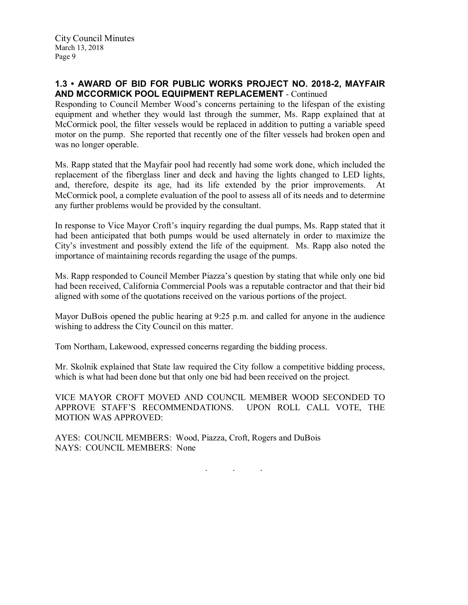### 1.3 • AWARD OF BID FOR PUBLIC WORKS PROJECT NO. 2018-2, MAYFAIR AND MCCORMICK POOL EQUIPMENT REPLACEMENT - Continued

Responding to Council Member Wood's concerns pertaining to the lifespan of the existing equipment and whether they would last through the summer, Ms. Rapp explained that at McCormick pool, the filter vessels would be replaced in addition to putting a variable speed motor on the pump. She reported that recently one of the filter vessels had broken open and was no longer operable.

Ms. Rapp stated that the Mayfair pool had recently had some work done, which included the replacement of the fiberglass liner and deck and having the lights changed to LED lights, and, therefore, despite its age, had its life extended by the prior improvements. At McCormick pool, a complete evaluation of the pool to assess all of its needs and to determine any further problems would be provided by the consultant.

In response to Vice Mayor Croft's inquiry regarding the dual pumps, Ms. Rapp stated that it had been anticipated that both pumps would be used alternately in order to maximize the City's investment and possibly extend the life of the equipment. Ms. Rapp also noted the importance of maintaining records regarding the usage of the pumps.

Ms. Rapp responded to Council Member Piazza's question by stating that while only one bid had been received, California Commercial Pools was a reputable contractor and that their bid aligned with some of the quotations received on the various portions of the project.

Mayor DuBois opened the public hearing at 9:25 p.m. and called for anyone in the audience wishing to address the City Council on this matter.

Tom Northam, Lakewood, expressed concerns regarding the bidding process.

Mr. Skolnik explained that State law required the City follow a competitive bidding process, which is what had been done but that only one bid had been received on the project.

VICE MAYOR CROFT MOVED AND COUNCIL MEMBER WOOD SECONDED TO APPROVE STAFF'S RECOMMENDATIONS. UPON ROLL CALL VOTE, THE MOTION WAS APPROVED:

AYES: COUNCIL MEMBERS: Wood, Piazza, Croft, Rogers and DuBois NAYS: COUNCIL MEMBERS: None

. . .